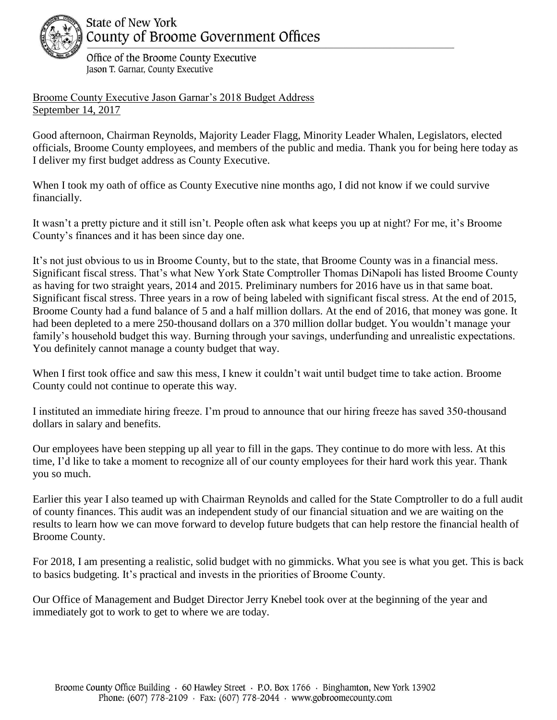

## **State of New York** County of Broome Government Offices

Office of the Broome County Executive Jason T. Garnar, County Executive

Broome County Executive Jason Garnar's 2018 Budget Address September 14, 2017

Good afternoon, Chairman Reynolds, Majority Leader Flagg, Minority Leader Whalen, Legislators, elected officials, Broome County employees, and members of the public and media. Thank you for being here today as I deliver my first budget address as County Executive.

When I took my oath of office as County Executive nine months ago, I did not know if we could survive financially.

It wasn't a pretty picture and it still isn't. People often ask what keeps you up at night? For me, it's Broome County's finances and it has been since day one.

It's not just obvious to us in Broome County, but to the state, that Broome County was in a financial mess. Significant fiscal stress. That's what New York State Comptroller Thomas DiNapoli has listed Broome County as having for two straight years, 2014 and 2015. Preliminary numbers for 2016 have us in that same boat. Significant fiscal stress. Three years in a row of being labeled with significant fiscal stress. At the end of 2015, Broome County had a fund balance of 5 and a half million dollars. At the end of 2016, that money was gone. It had been depleted to a mere 250-thousand dollars on a 370 million dollar budget. You wouldn't manage your family's household budget this way. Burning through your savings, underfunding and unrealistic expectations. You definitely cannot manage a county budget that way.

When I first took office and saw this mess, I knew it couldn't wait until budget time to take action. Broome County could not continue to operate this way.

I instituted an immediate hiring freeze. I'm proud to announce that our hiring freeze has saved 350-thousand dollars in salary and benefits.

Our employees have been stepping up all year to fill in the gaps. They continue to do more with less. At this time, I'd like to take a moment to recognize all of our county employees for their hard work this year. Thank you so much.

Earlier this year I also teamed up with Chairman Reynolds and called for the State Comptroller to do a full audit of county finances. This audit was an independent study of our financial situation and we are waiting on the results to learn how we can move forward to develop future budgets that can help restore the financial health of Broome County.

For 2018, I am presenting a realistic, solid budget with no gimmicks. What you see is what you get. This is back to basics budgeting. It's practical and invests in the priorities of Broome County.

Our Office of Management and Budget Director Jerry Knebel took over at the beginning of the year and immediately got to work to get to where we are today.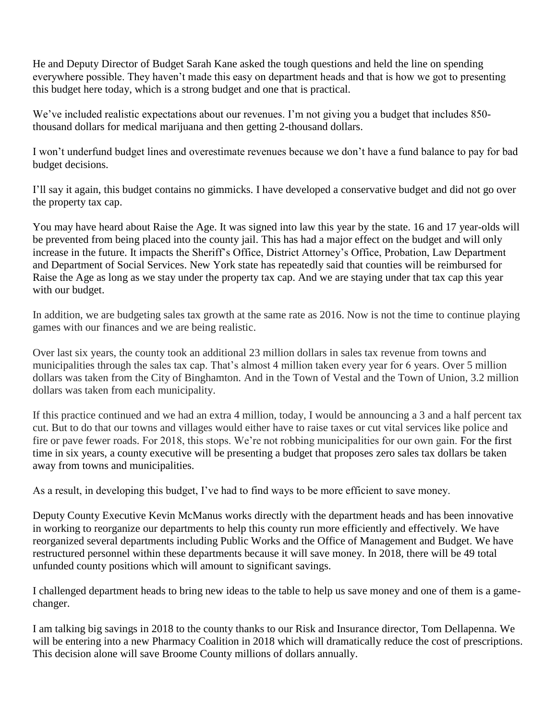He and Deputy Director of Budget Sarah Kane asked the tough questions and held the line on spending everywhere possible. They haven't made this easy on department heads and that is how we got to presenting this budget here today, which is a strong budget and one that is practical.

We've included realistic expectations about our revenues. I'm not giving you a budget that includes 850thousand dollars for medical marijuana and then getting 2-thousand dollars.

I won't underfund budget lines and overestimate revenues because we don't have a fund balance to pay for bad budget decisions.

I'll say it again, this budget contains no gimmicks. I have developed a conservative budget and did not go over the property tax cap.

You may have heard about Raise the Age. It was signed into law this year by the state. 16 and 17 year-olds will be prevented from being placed into the county jail. This has had a major effect on the budget and will only increase in the future. It impacts the Sheriff's Office, District Attorney's Office, Probation, Law Department and Department of Social Services. New York state has repeatedly said that counties will be reimbursed for Raise the Age as long as we stay under the property tax cap. And we are staying under that tax cap this year with our budget.

In addition, we are budgeting sales tax growth at the same rate as 2016. Now is not the time to continue playing games with our finances and we are being realistic.

Over last six years, the county took an additional 23 million dollars in sales tax revenue from towns and municipalities through the sales tax cap. That's almost 4 million taken every year for 6 years. Over 5 million dollars was taken from the City of Binghamton. And in the Town of Vestal and the Town of Union, 3.2 million dollars was taken from each municipality.

If this practice continued and we had an extra 4 million, today, I would be announcing a 3 and a half percent tax cut. But to do that our towns and villages would either have to raise taxes or cut vital services like police and fire or pave fewer roads. For 2018, this stops. We're not robbing municipalities for our own gain. For the first time in six years, a county executive will be presenting a budget that proposes zero sales tax dollars be taken away from towns and municipalities.

As a result, in developing this budget, I've had to find ways to be more efficient to save money.

Deputy County Executive Kevin McManus works directly with the department heads and has been innovative in working to reorganize our departments to help this county run more efficiently and effectively. We have reorganized several departments including Public Works and the Office of Management and Budget. We have restructured personnel within these departments because it will save money. In 2018, there will be 49 total unfunded county positions which will amount to significant savings.

I challenged department heads to bring new ideas to the table to help us save money and one of them is a gamechanger.

I am talking big savings in 2018 to the county thanks to our Risk and Insurance director, Tom Dellapenna. We will be entering into a new Pharmacy Coalition in 2018 which will dramatically reduce the cost of prescriptions. This decision alone will save Broome County millions of dollars annually.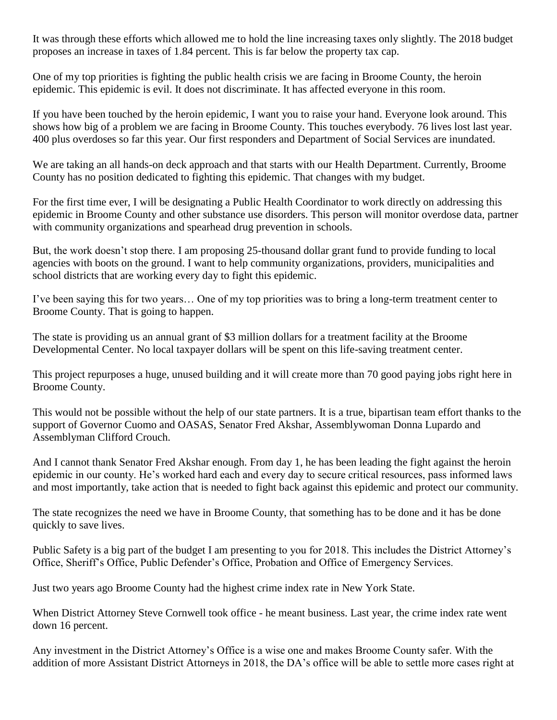It was through these efforts which allowed me to hold the line increasing taxes only slightly. The 2018 budget proposes an increase in taxes of 1.84 percent. This is far below the property tax cap.

One of my top priorities is fighting the public health crisis we are facing in Broome County, the heroin epidemic. This epidemic is evil. It does not discriminate. It has affected everyone in this room.

If you have been touched by the heroin epidemic, I want you to raise your hand. Everyone look around. This shows how big of a problem we are facing in Broome County. This touches everybody. 76 lives lost last year. 400 plus overdoses so far this year. Our first responders and Department of Social Services are inundated.

We are taking an all hands-on deck approach and that starts with our Health Department. Currently, Broome County has no position dedicated to fighting this epidemic. That changes with my budget.

For the first time ever, I will be designating a Public Health Coordinator to work directly on addressing this epidemic in Broome County and other substance use disorders. This person will monitor overdose data, partner with community organizations and spearhead drug prevention in schools.

But, the work doesn't stop there. I am proposing 25-thousand dollar grant fund to provide funding to local agencies with boots on the ground. I want to help community organizations, providers, municipalities and school districts that are working every day to fight this epidemic.

I've been saying this for two years… One of my top priorities was to bring a long-term treatment center to Broome County. That is going to happen.

The state is providing us an annual grant of \$3 million dollars for a treatment facility at the Broome Developmental Center. No local taxpayer dollars will be spent on this life-saving treatment center.

This project repurposes a huge, unused building and it will create more than 70 good paying jobs right here in Broome County.

This would not be possible without the help of our state partners. It is a true, bipartisan team effort thanks to the support of Governor Cuomo and OASAS, Senator Fred Akshar, Assemblywoman Donna Lupardo and Assemblyman Clifford Crouch.

And I cannot thank Senator Fred Akshar enough. From day 1, he has been leading the fight against the heroin epidemic in our county. He's worked hard each and every day to secure critical resources, pass informed laws and most importantly, take action that is needed to fight back against this epidemic and protect our community.

The state recognizes the need we have in Broome County, that something has to be done and it has be done quickly to save lives.

Public Safety is a big part of the budget I am presenting to you for 2018. This includes the District Attorney's Office, Sheriff's Office, Public Defender's Office, Probation and Office of Emergency Services.

Just two years ago Broome County had the highest crime index rate in New York State.

When District Attorney Steve Cornwell took office - he meant business. Last year, the crime index rate went down 16 percent.

Any investment in the District Attorney's Office is a wise one and makes Broome County safer. With the addition of more Assistant District Attorneys in 2018, the DA's office will be able to settle more cases right at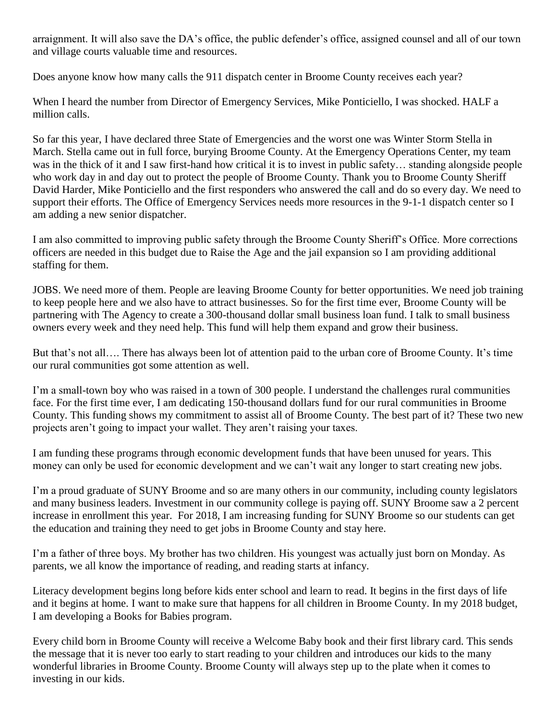arraignment. It will also save the DA's office, the public defender's office, assigned counsel and all of our town and village courts valuable time and resources.

Does anyone know how many calls the 911 dispatch center in Broome County receives each year?

When I heard the number from Director of Emergency Services, Mike Ponticiello, I was shocked. HALF a million calls.

So far this year, I have declared three State of Emergencies and the worst one was Winter Storm Stella in March. Stella came out in full force, burying Broome County. At the Emergency Operations Center, my team was in the thick of it and I saw first-hand how critical it is to invest in public safety… standing alongside people who work day in and day out to protect the people of Broome County. Thank you to Broome County Sheriff David Harder, Mike Ponticiello and the first responders who answered the call and do so every day. We need to support their efforts. The Office of Emergency Services needs more resources in the 9-1-1 dispatch center so I am adding a new senior dispatcher.

I am also committed to improving public safety through the Broome County Sheriff's Office. More corrections officers are needed in this budget due to Raise the Age and the jail expansion so I am providing additional staffing for them.

JOBS. We need more of them. People are leaving Broome County for better opportunities. We need job training to keep people here and we also have to attract businesses. So for the first time ever, Broome County will be partnering with The Agency to create a 300-thousand dollar small business loan fund. I talk to small business owners every week and they need help. This fund will help them expand and grow their business.

But that's not all…. There has always been lot of attention paid to the urban core of Broome County. It's time our rural communities got some attention as well.

I'm a small-town boy who was raised in a town of 300 people. I understand the challenges rural communities face. For the first time ever, I am dedicating 150-thousand dollars fund for our rural communities in Broome County. This funding shows my commitment to assist all of Broome County. The best part of it? These two new projects aren't going to impact your wallet. They aren't raising your taxes.

I am funding these programs through economic development funds that have been unused for years. This money can only be used for economic development and we can't wait any longer to start creating new jobs.

I'm a proud graduate of SUNY Broome and so are many others in our community, including county legislators and many business leaders. Investment in our community college is paying off. SUNY Broome saw a 2 percent increase in enrollment this year. For 2018, I am increasing funding for SUNY Broome so our students can get the education and training they need to get jobs in Broome County and stay here.

I'm a father of three boys. My brother has two children. His youngest was actually just born on Monday. As parents, we all know the importance of reading, and reading starts at infancy.

Literacy development begins long before kids enter school and learn to read. It begins in the first days of life and it begins at home. I want to make sure that happens for all children in Broome County. In my 2018 budget, I am developing a Books for Babies program.

Every child born in Broome County will receive a Welcome Baby book and their first library card. This sends the message that it is never too early to start reading to your children and introduces our kids to the many wonderful libraries in Broome County. Broome County will always step up to the plate when it comes to investing in our kids.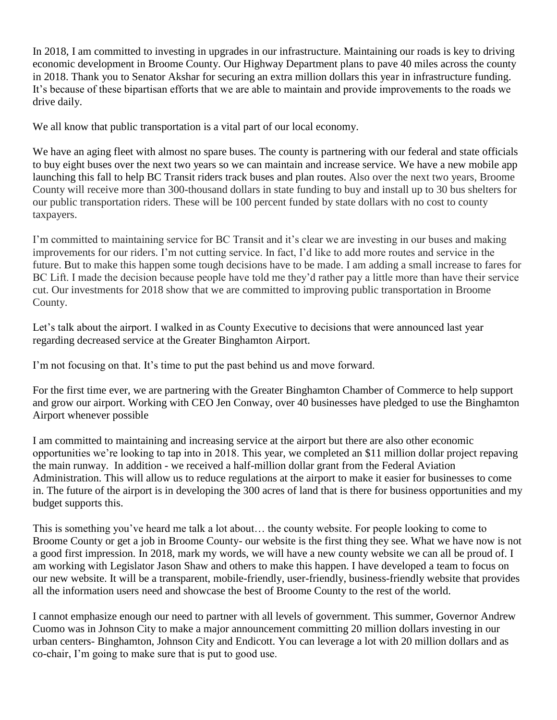In 2018, I am committed to investing in upgrades in our infrastructure. Maintaining our roads is key to driving economic development in Broome County. Our Highway Department plans to pave 40 miles across the county in 2018. Thank you to Senator Akshar for securing an extra million dollars this year in infrastructure funding. It's because of these bipartisan efforts that we are able to maintain and provide improvements to the roads we drive daily.

We all know that public transportation is a vital part of our local economy.

We have an aging fleet with almost no spare buses. The county is partnering with our federal and state officials to buy eight buses over the next two years so we can maintain and increase service. We have a new mobile app launching this fall to help BC Transit riders track buses and plan routes. Also over the next two years, Broome County will receive more than 300-thousand dollars in state funding to buy and install up to 30 bus shelters for our public transportation riders. These will be 100 percent funded by state dollars with no cost to county taxpayers.

I'm committed to maintaining service for BC Transit and it's clear we are investing in our buses and making improvements for our riders. I'm not cutting service. In fact, I'd like to add more routes and service in the future. But to make this happen some tough decisions have to be made. I am adding a small increase to fares for BC Lift. I made the decision because people have told me they'd rather pay a little more than have their service cut. Our investments for 2018 show that we are committed to improving public transportation in Broome County.

Let's talk about the airport. I walked in as County Executive to decisions that were announced last year regarding decreased service at the Greater Binghamton Airport.

I'm not focusing on that. It's time to put the past behind us and move forward.

For the first time ever, we are partnering with the Greater Binghamton Chamber of Commerce to help support and grow our airport. Working with CEO Jen Conway, over 40 businesses have pledged to use the Binghamton Airport whenever possible

I am committed to maintaining and increasing service at the airport but there are also other economic opportunities we're looking to tap into in 2018. This year, we completed an \$11 million dollar project repaving the main runway. In addition - we received a half-million dollar grant from the Federal Aviation Administration. This will allow us to reduce regulations at the airport to make it easier for businesses to come in. The future of the airport is in developing the 300 acres of land that is there for business opportunities and my budget supports this.

This is something you've heard me talk a lot about… the county website. For people looking to come to Broome County or get a job in Broome County- our website is the first thing they see. What we have now is not a good first impression. In 2018, mark my words, we will have a new county website we can all be proud of. I am working with Legislator Jason Shaw and others to make this happen. I have developed a team to focus on our new website. It will be a transparent, mobile-friendly, user-friendly, business-friendly website that provides all the information users need and showcase the best of Broome County to the rest of the world.

I cannot emphasize enough our need to partner with all levels of government. This summer, Governor Andrew Cuomo was in Johnson City to make a major announcement committing 20 million dollars investing in our urban centers- Binghamton, Johnson City and Endicott. You can leverage a lot with 20 million dollars and as co-chair, I'm going to make sure that is put to good use.